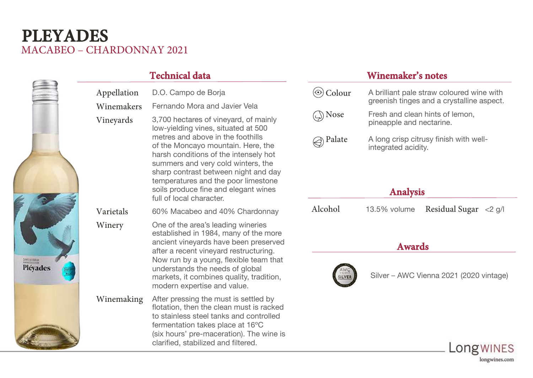## MACABEO – CHARDONNAY 2021 **PLEYADES**

| HIGHH         |
|---------------|
|               |
| .<br>Pléyades |
|               |

| Appellation | D.O. Campo de Borja                                                                                                                                                                                                                                                                                                                                                                       |  |  |
|-------------|-------------------------------------------------------------------------------------------------------------------------------------------------------------------------------------------------------------------------------------------------------------------------------------------------------------------------------------------------------------------------------------------|--|--|
| Winemakers  | Fernando Mora and Javier Vela                                                                                                                                                                                                                                                                                                                                                             |  |  |
| Vineyards   | 3,700 hectares of vineyard, of mainly<br>low-yielding vines, situated at 500<br>metres and above in the foothills<br>of the Moncayo mountain. Here, the<br>harsh conditions of the intensely hot<br>summers and very cold winters, the<br>sharp contrast between night and day<br>temperatures and the poor limestone<br>soils produce fine and elegant wines<br>full of local character. |  |  |
| Varietals   | 60% Macabeo and 40% Chardonnay                                                                                                                                                                                                                                                                                                                                                            |  |  |
| Winery      | One of the area's leading wineries<br>established in 1984, many of the more<br>ancient vineyards have been preserved<br>after a recent vineyard restructuring.<br>Now run by a young, flexible team that<br>understands the needs of global<br>markets, it combines quality, tradition,<br>modern expertise and value.                                                                    |  |  |
| Winemaking  | After pressing the must is settled by<br>flotation, then the clean must is racked<br>to stainless steel tanks and controlled<br>fermentation takes place at 16°C<br>(six hours' pre-maceration). The wine is<br>clarified, stabilized and filtered.                                                                                                                                       |  |  |

### **Technical data Winemaker's notes**

| Colour          | A brilliant pale straw coloured wine with<br>greenish tinges and a crystalline aspect. |  |  |  |  |  |
|-----------------|----------------------------------------------------------------------------------------|--|--|--|--|--|
| Nose            | Fresh and clean hints of lemon,<br>pineapple and nectarine.                            |  |  |  |  |  |
| Palate          | A long crisp citrusy finish with well-<br>integrated acidity.                          |  |  |  |  |  |
| <b>Analysis</b> |                                                                                        |  |  |  |  |  |
| Alcohol         | Residual Sugar<br>13.5% volume<br>$<$ 2 g/l                                            |  |  |  |  |  |

#### **Awards**



Silver – AWC Vienna 2021 (2020 vintage)

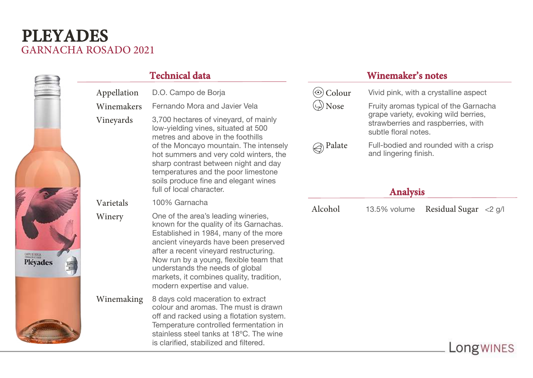# GARNACHA ROSADO 2021 **PLEYADES**

|                                      |             | <b>Technical data</b>                                                                                                                                                                                                                                                                                                                                              |                          | <b>Winemaker's notes</b>                                                                                                                                                                                     |                       |
|--------------------------------------|-------------|--------------------------------------------------------------------------------------------------------------------------------------------------------------------------------------------------------------------------------------------------------------------------------------------------------------------------------------------------------------------|--------------------------|--------------------------------------------------------------------------------------------------------------------------------------------------------------------------------------------------------------|-----------------------|
|                                      | Appellation | D.O. Campo de Borja                                                                                                                                                                                                                                                                                                                                                | $\circledcirc$ Colour    | Vivid pink, with a crystalline aspect                                                                                                                                                                        |                       |
|                                      | Winemakers  | Fernando Mora and Javier Vela                                                                                                                                                                                                                                                                                                                                      | $\Leftrightarrow$ Nose   | Fruity aromas typical of the Garnacha<br>grape variety, evoking wild berries,<br>strawberries and raspberries, with<br>subtle floral notes.<br>Full-bodied and rounded with a crisp<br>and lingering finish. |                       |
|                                      | Vineyards   | 3,700 hectares of vineyard, of mainly<br>low-yielding vines, situated at 500<br>metres and above in the foothills<br>of the Moncayo mountain. The intensely<br>hot summers and very cold winters, the<br>sharp contrast between night and day<br>temperatures and the poor limestone<br>soils produce fine and elegant wines<br>full of local character.           |                          |                                                                                                                                                                                                              |                       |
|                                      |             |                                                                                                                                                                                                                                                                                                                                                                    | $\textcircled{ }$ Palate |                                                                                                                                                                                                              |                       |
|                                      | Varietals   | 100% Garnacha                                                                                                                                                                                                                                                                                                                                                      |                          | <b>Analysis</b>                                                                                                                                                                                              |                       |
| <b>COOS OF ROOM</b><br>Pléyades<br>圖 | Winery      | One of the area's leading wineries,<br>known for the quality of its Garnachas.<br>Established in 1984, many of the more<br>ancient vineyards have been preserved<br>after a recent vineyard restructuring.<br>Now run by a young, flexible team that<br>understands the needs of global<br>markets, it combines quality, tradition,<br>modern expertise and value. | Alcohol                  | 13.5% volume                                                                                                                                                                                                 | Residual Sugar <2 g/l |
|                                      | Winemaking  | 8 days cold maceration to extract<br>colour and aromas. The must is drawn<br>off and racked using a flotation system.<br>Temperature controlled fermentation in<br>stainless steel tanks at 18°C. The wine<br>is clarified, stabilized and filtered.                                                                                                               |                          |                                                                                                                                                                                                              | Longwines             |